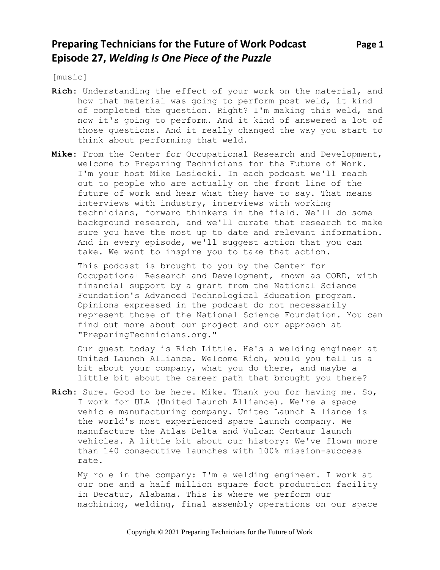[music]

- **Rich:** Understanding the effect of your work on the material, and how that material was going to perform post weld, it kind of completed the question. Right? I'm making this weld, and now it's going to perform. And it kind of answered a lot of those questions. And it really changed the way you start to think about performing that weld.
- **Mike:** From the Center for Occupational Research and Development, welcome to Preparing Technicians for the Future of Work. I'm your host Mike Lesiecki. In each podcast we'll reach out to people who are actually on the front line of the future of work and hear what they have to say. That means interviews with industry, interviews with working technicians, forward thinkers in the field. We'll do some background research, and we'll curate that research to make sure you have the most up to date and relevant information. And in every episode, we'll suggest action that you can take. We want to inspire you to take that action.

This podcast is brought to you by the Center for Occupational Research and Development, known as CORD, with financial support by a grant from the National Science Foundation's Advanced Technological Education program. Opinions expressed in the podcast do not necessarily represent those of the National Science Foundation. You can find out more about our project and our approach at "PreparingTechnicians.org."

Our guest today is Rich Little. He's a welding engineer at United Launch Alliance. Welcome Rich, would you tell us a bit about your company, what you do there, and maybe a little bit about the career path that brought you there?

**Rich:** Sure. Good to be here. Mike. Thank you for having me. So, I work for ULA (United Launch Alliance). We're a space vehicle manufacturing company. United Launch Alliance is the world's most experienced space launch company. We manufacture the Atlas Delta and Vulcan Centaur launch vehicles. A little bit about our history: We've flown more than 140 consecutive launches with 100% mission-success rate.

My role in the company: I'm a welding engineer. I work at our one and a half million square foot production facility in Decatur, Alabama. This is where we perform our machining, welding, final assembly operations on our space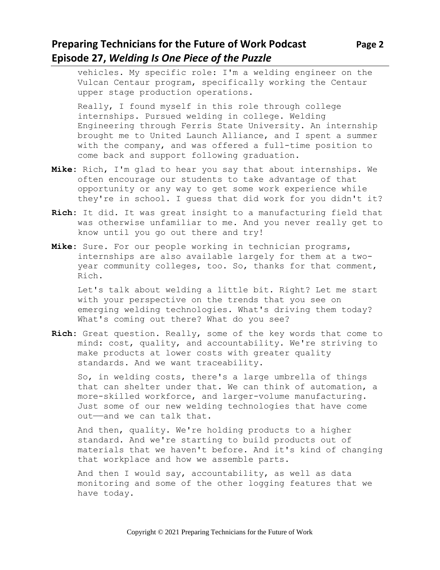## **Preparing Technicians for the Future of Work Podcast Page 2 Episode 27,** *Welding Is One Piece of the Puzzle*

vehicles. My specific role: I'm a welding engineer on the Vulcan Centaur program, specifically working the Centaur upper stage production operations.

Really, I found myself in this role through college internships. Pursued welding in college. Welding Engineering through Ferris State University. An internship brought me to United Launch Alliance, and I spent a summer with the company, and was offered a full-time position to come back and support following graduation.

- **Mike:** Rich, I'm glad to hear you say that about internships. We often encourage our students to take advantage of that opportunity or any way to get some work experience while they're in school. I guess that did work for you didn't it?
- **Rich:** It did. It was great insight to a manufacturing field that was otherwise unfamiliar to me. And you never really get to know until you go out there and try!
- **Mike:** Sure. For our people working in technician programs, internships are also available largely for them at a twoyear community colleges, too. So, thanks for that comment, Rich.

Let's talk about welding a little bit. Right? Let me start with your perspective on the trends that you see on emerging welding technologies. What's driving them today? What's coming out there? What do you see?

**Rich:** Great question. Really, some of the key words that come to mind: cost, quality, and accountability. We're striving to make products at lower costs with greater quality standards. And we want traceability.

So, in welding costs, there's a large umbrella of things that can shelter under that. We can think of automation, a more-skilled workforce, and larger-volume manufacturing. Just some of our new welding technologies that have come out——and we can talk that.

And then, quality. We're holding products to a higher standard. And we're starting to build products out of materials that we haven't before. And it's kind of changing that workplace and how we assemble parts.

And then I would say, accountability, as well as data monitoring and some of the other logging features that we have today.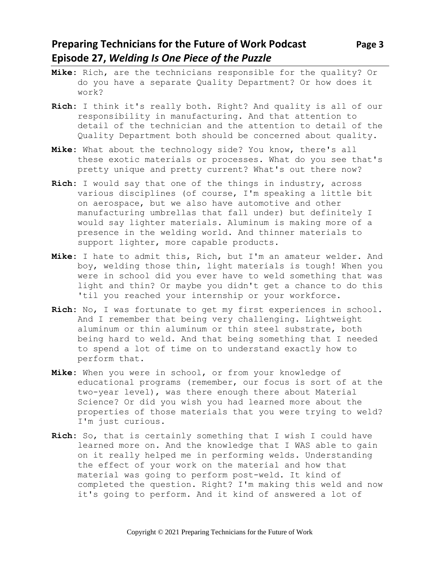## **Preparing Technicians for the Future of Work Podcast** Page 3 **Episode 27,** *Welding Is One Piece of the Puzzle*

- **Mike:** Rich, are the technicians responsible for the quality? Or do you have a separate Quality Department? Or how does it work?
- **Rich:** I think it's really both. Right? And quality is all of our responsibility in manufacturing. And that attention to detail of the technician and the attention to detail of the Quality Department both should be concerned about quality.
- **Mike:** What about the technology side? You know, there's all these exotic materials or processes. What do you see that's pretty unique and pretty current? What's out there now?
- **Rich:** I would say that one of the things in industry, across various disciplines (of course, I'm speaking a little bit on aerospace, but we also have automotive and other manufacturing umbrellas that fall under) but definitely I would say lighter materials. Aluminum is making more of a presence in the welding world. And thinner materials to support lighter, more capable products.
- **Mike:** I hate to admit this, Rich, but I'm an amateur welder. And boy, welding those thin, light materials is tough! When you were in school did you ever have to weld something that was light and thin? Or maybe you didn't get a chance to do this 'til you reached your internship or your workforce.
- **Rich:** No, I was fortunate to get my first experiences in school. And I remember that being very challenging. Lightweight aluminum or thin aluminum or thin steel substrate, both being hard to weld. And that being something that I needed to spend a lot of time on to understand exactly how to perform that.
- **Mike:** When you were in school, or from your knowledge of educational programs (remember, our focus is sort of at the two-year level), was there enough there about Material Science? Or did you wish you had learned more about the properties of those materials that you were trying to weld? I'm just curious.
- **Rich:** So, that is certainly something that I wish I could have learned more on. And the knowledge that I WAS able to gain on it really helped me in performing welds. Understanding the effect of your work on the material and how that material was going to perform post-weld. It kind of completed the question. Right? I'm making this weld and now it's going to perform. And it kind of answered a lot of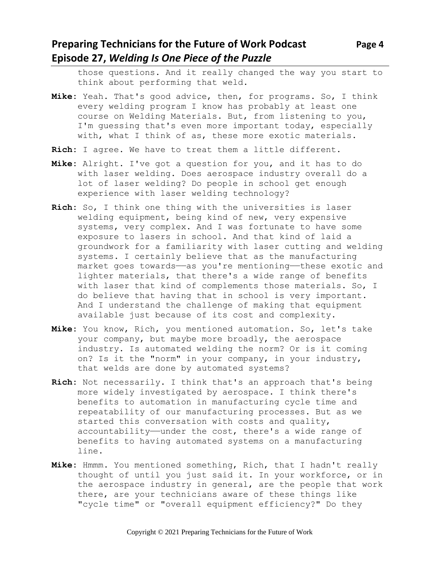# **Preparing Technicians for the Future of Work Podcast Page 4 Episode 27,** *Welding Is One Piece of the Puzzle*

those questions. And it really changed the way you start to think about performing that weld.

- **Mike:** Yeah. That's good advice, then, for programs. So, I think every welding program I know has probably at least one course on Welding Materials. But, from listening to you, I'm guessing that's even more important today, especially with, what I think of as, these more exotic materials.
- **Rich:** I agree. We have to treat them a little different.
- **Mike:** Alright. I've got a question for you, and it has to do with laser welding. Does aerospace industry overall do a lot of laser welding? Do people in school get enough experience with laser welding technology?
- **Rich:** So, I think one thing with the universities is laser welding equipment, being kind of new, very expensive systems, very complex. And I was fortunate to have some exposure to lasers in school. And that kind of laid a groundwork for a familiarity with laser cutting and welding systems. I certainly believe that as the manufacturing market goes towards—as you're mentioning—these exotic and lighter materials, that there's a wide range of benefits with laser that kind of complements those materials. So, I do believe that having that in school is very important. And I understand the challenge of making that equipment available just because of its cost and complexity.
- **Mike:** You know, Rich, you mentioned automation. So, let's take your company, but maybe more broadly, the aerospace industry. Is automated welding the norm? Or is it coming on? Is it the "norm" in your company, in your industry, that welds are done by automated systems?
- **Rich:** Not necessarily. I think that's an approach that's being more widely investigated by aerospace. I think there's benefits to automation in manufacturing cycle time and repeatability of our manufacturing processes. But as we started this conversation with costs and quality, accountability—under the cost, there's a wide range of benefits to having automated systems on a manufacturing line.
- **Mike:** Hmmm. You mentioned something, Rich, that I hadn't really thought of until you just said it. In your workforce, or in the aerospace industry in general, are the people that work there, are your technicians aware of these things like "cycle time" or "overall equipment efficiency?" Do they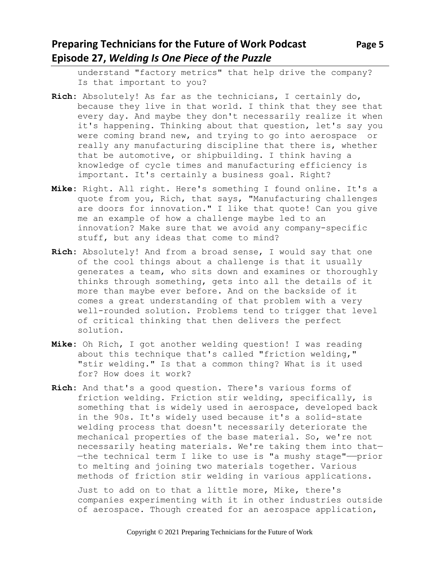# **Preparing Technicians for the Future of Work Podcast** Page 5 **Episode 27,** *Welding Is One Piece of the Puzzle*

understand "factory metrics" that help drive the company? Is that important to you?

- **Rich:** Absolutely! As far as the technicians, I certainly do, because they live in that world. I think that they see that every day. And maybe they don't necessarily realize it when it's happening. Thinking about that question, let's say you were coming brand new, and trying to go into aerospace or really any manufacturing discipline that there is, whether that be automotive, or shipbuilding. I think having a knowledge of cycle times and manufacturing efficiency is important. It's certainly a business goal. Right?
- **Mike:** Right. All right. Here's something I found online. It's a quote from you, Rich, that says, "Manufacturing challenges are doors for innovation." I like that quote! Can you give me an example of how a challenge maybe led to an innovation? Make sure that we avoid any company-specific stuff, but any ideas that come to mind?
- **Rich:** Absolutely! And from a broad sense, I would say that one of the cool things about a challenge is that it usually generates a team, who sits down and examines or thoroughly thinks through something, gets into all the details of it more than maybe ever before. And on the backside of it comes a great understanding of that problem with a very well-rounded solution. Problems tend to trigger that level of critical thinking that then delivers the perfect solution.
- **Mike:** Oh Rich, I got another welding question! I was reading about this technique that's called "friction welding," "stir welding." Is that a common thing? What is it used for? How does it work?
- **Rich:** And that's a good question. There's various forms of friction welding. Friction stir welding, specifically, is something that is widely used in aerospace, developed back in the 90s. It's widely used because it's a solid-state welding process that doesn't necessarily deteriorate the mechanical properties of the base material. So, we're not necessarily heating materials. We're taking them into that— —the technical term I like to use is "a mushy stage"——prior to melting and joining two materials together. Various methods of friction stir welding in various applications.

Just to add on to that a little more, Mike, there's companies experimenting with it in other industries outside of aerospace. Though created for an aerospace application,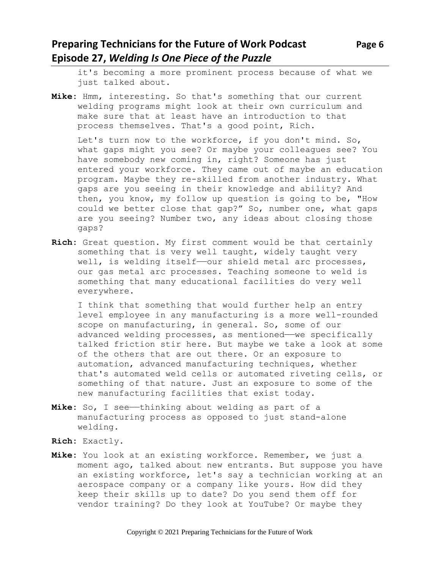## **Preparing Technicians for the Future of Work Podcast Page 6 Episode 27,** *Welding Is One Piece of the Puzzle*

it's becoming a more prominent process because of what we just talked about.

**Mike:** Hmm, interesting. So that's something that our current welding programs might look at their own curriculum and make sure that at least have an introduction to that process themselves. That's a good point, Rich.

Let's turn now to the workforce, if you don't mind. So, what gaps might you see? Or maybe your colleagues see? You have somebody new coming in, right? Someone has just entered your workforce. They came out of maybe an education program. Maybe they re-skilled from another industry. What gaps are you seeing in their knowledge and ability? And then, you know, my follow up question is going to be, "How could we better close that gap?" So, number one, what gaps are you seeing? Number two, any ideas about closing those gaps?

**Rich:** Great question. My first comment would be that certainly something that is very well taught, widely taught very well, is welding itself-our shield metal arc processes, our gas metal arc processes. Teaching someone to weld is something that many educational facilities do very well everywhere.

I think that something that would further help an entry level employee in any manufacturing is a more well-rounded scope on manufacturing, in general. So, some of our advanced welding processes, as mentioned—we specifically talked friction stir here. But maybe we take a look at some of the others that are out there. Or an exposure to automation, advanced manufacturing techniques, whether that's automated weld cells or automated riveting cells, or something of that nature. Just an exposure to some of the new manufacturing facilities that exist today.

- Mike: So, I see-thinking about welding as part of a manufacturing process as opposed to just stand-alone welding.
- **Rich:** Exactly.
- **Mike:** You look at an existing workforce. Remember, we just a moment ago, talked about new entrants. But suppose you have an existing workforce, let's say a technician working at an aerospace company or a company like yours. How did they keep their skills up to date? Do you send them off for vendor training? Do they look at YouTube? Or maybe they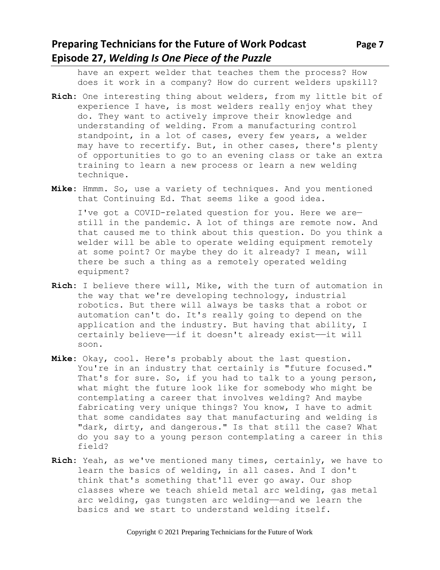have an expert welder that teaches them the process? How does it work in a company? How do current welders upskill?

- **Rich:** One interesting thing about welders, from my little bit of experience I have, is most welders really enjoy what they do. They want to actively improve their knowledge and understanding of welding. From a manufacturing control standpoint, in a lot of cases, every few years, a welder may have to recertify. But, in other cases, there's plenty of opportunities to go to an evening class or take an extra training to learn a new process or learn a new welding technique.
- **Mike:** Hmmm. So, use a variety of techniques. And you mentioned that Continuing Ed. That seems like a good idea.

I've got a COVID-related question for you. Here we are still in the pandemic. A lot of things are remote now. And that caused me to think about this question. Do you think a welder will be able to operate welding equipment remotely at some point? Or maybe they do it already? I mean, will there be such a thing as a remotely operated welding equipment?

- **Rich:** I believe there will, Mike, with the turn of automation in the way that we're developing technology, industrial robotics. But there will always be tasks that a robot or automation can't do. It's really going to depend on the application and the industry. But having that ability, I certainly believe—if it doesn't already exist—it will soon.
- **Mike:** Okay, cool. Here's probably about the last question. You're in an industry that certainly is "future focused." That's for sure. So, if you had to talk to a young person, what might the future look like for somebody who might be contemplating a career that involves welding? And maybe fabricating very unique things? You know, I have to admit that some candidates say that manufacturing and welding is "dark, dirty, and dangerous." Is that still the case? What do you say to a young person contemplating a career in this field?
- **Rich:** Yeah, as we've mentioned many times, certainly, we have to learn the basics of welding, in all cases. And I don't think that's something that'll ever go away. Our shop classes where we teach shield metal arc welding, gas metal arc welding, gas tungsten arc welding—and we learn the basics and we start to understand welding itself.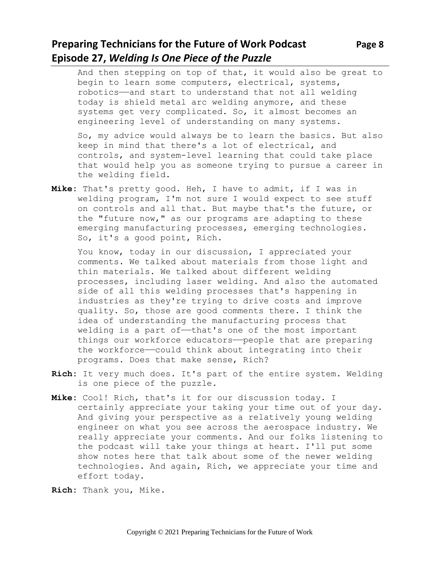## **Preparing Technicians for the Future of Work Podcast** Page 8 **Episode 27,** *Welding Is One Piece of the Puzzle*

And then stepping on top of that, it would also be great to begin to learn some computers, electrical, systems, robotics——and start to understand that not all welding today is shield metal arc welding anymore, and these systems get very complicated. So, it almost becomes an engineering level of understanding on many systems.

So, my advice would always be to learn the basics. But also keep in mind that there's a lot of electrical, and controls, and system-level learning that could take place that would help you as someone trying to pursue a career in the welding field.

**Mike:** That's pretty good. Heh, I have to admit, if I was in welding program, I'm not sure I would expect to see stuff on controls and all that. But maybe that's the future, or the "future now," as our programs are adapting to these emerging manufacturing processes, emerging technologies. So, it's a good point, Rich.

You know, today in our discussion, I appreciated your comments. We talked about materials from those light and thin materials. We talked about different welding processes, including laser welding. And also the automated side of all this welding processes that's happening in industries as they're trying to drive costs and improve quality. So, those are good comments there. I think the idea of understanding the manufacturing process that welding is a part of-that's one of the most important things our workforce educators—people that are preparing the workforce—could think about integrating into their programs. Does that make sense, Rich?

- **Rich:** It very much does. It's part of the entire system. Welding is one piece of the puzzle.
- **Mike:** Cool! Rich, that's it for our discussion today. I certainly appreciate your taking your time out of your day. And giving your perspective as a relatively young welding engineer on what you see across the aerospace industry. We really appreciate your comments. And our folks listening to the podcast will take your things at heart. I'll put some show notes here that talk about some of the newer welding technologies. And again, Rich, we appreciate your time and effort today.

**Rich:** Thank you, Mike.